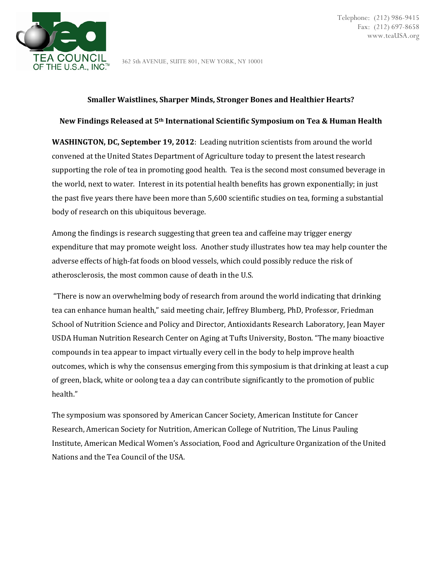

362 5th AVENUE, SUITE 801, NEW YORK, NY 10001

### **Smaller Waistlines, Sharper Minds, Stronger Bones and Healthier Hearts?**

# **New Findings Released at 5th International Scientific Symposium on Tea & Human Health**

**WASHINGTON, DC, September 19, 2012**: Leading nutrition scientists from around the world convened at the United States Department of Agriculture today to present the latest research supporting the role of tea in promoting good health. Tea is the second most consumed beverage in the world, next to water. Interest in its potential health benefits has grown exponentially; in just the past five years there have been more than 5,600 scientific studies on tea, forming a substantial body of research on this ubiquitous beverage.

Among the findings is research suggesting that green tea and caffeine may trigger energy expenditure that may promote weight loss. Another study illustrates how tea may help counter the adverse effects of high-fat foods on blood vessels, which could possibly reduce the risk of atherosclerosis, the most common cause of death in the U.S.

"There is now an overwhelming body of research from around the world indicating that drinking tea can enhance human health," said meeting chair, Jeffrey Blumberg, PhD, Professor, Friedman School of Nutrition Science and Policy and Director, Antioxidants Research Laboratory, Jean Mayer USDA Human Nutrition Research Center on Aging at Tufts University, Boston. "The many bioactive compounds in tea appear to impact virtually every cell in the body to help improve health outcomes, which is why the consensus emerging from this symposium is that drinking at least a cup of green, black, white or oolong tea a day can contribute significantly to the promotion of public health."

The symposium was sponsored by American Cancer Society, American Institute for Cancer Research, American Society for Nutrition, American College of Nutrition, The Linus Pauling Institute, American Medical Women's Association, Food and Agriculture Organization of the United Nations and the Tea Council of the USA.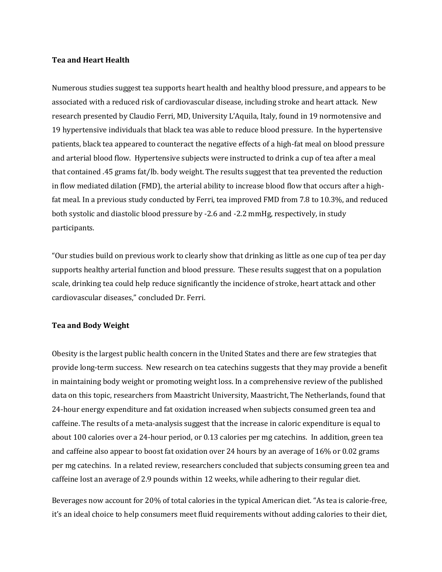### **Tea and Heart Health**

Numerous studies suggest tea supports heart health and healthy blood pressure, and appears to be associated with a reduced risk of cardiovascular disease, including stroke and heart attack. New research presented by Claudio Ferri, MD, University L'Aquila, Italy, found in 19 normotensive and 19 hypertensive individuals that black tea was able to reduce blood pressure. In the hypertensive patients, black tea appeared to counteract the negative effects of a high-fat meal on blood pressure and arterial blood flow. Hypertensive subjects were instructed to drink a cup of tea after a meal that contained .45 grams fat/lb. body weight. The results suggest that tea prevented the reduction in flow mediated dilation (FMD), the arterial ability to increase blood flow that occurs after a highfat meal. In a previous study conducted by Ferri, tea improved FMD from 7.8 to 10.3%, and reduced both systolic and diastolic blood pressure by -2.6 and -2.2 mmHg, respectively, in study participants.

"Our studies build on previous work to clearly show that drinking as little as one cup of tea per day supports healthy arterial function and blood pressure. These results suggest that on a population scale, drinking tea could help reduce significantly the incidence of stroke, heart attack and other cardiovascular diseases," concluded Dr. Ferri.

#### **Tea and Body Weight**

Obesity is the largest public health concern in the United States and there are few strategies that provide long-term success. New research on tea catechins suggests that they may provide a benefit in maintaining body weight or promoting weight loss. In a comprehensive review of the published data on this topic, researchers from Maastricht University, Maastricht, The Netherlands, found that 24-hour energy expenditure and fat oxidation increased when subjects consumed green tea and caffeine. The results of a meta-analysis suggest that the increase in caloric expenditure is equal to about 100 calories over a 24-hour period, or 0.13 calories per mg catechins. In addition, green tea and caffeine also appear to boost fat oxidation over 24 hours by an average of 16% or 0.02 grams per mg catechins. In a related review, researchers concluded that subjects consuming green tea and caffeine lost an average of 2.9 pounds within 12 weeks, while adhering to their regular diet.

Beverages now account for 20% of total calories in the typical American diet. "As tea is calorie-free, it's an ideal choice to help consumers meet fluid requirements without adding calories to their diet,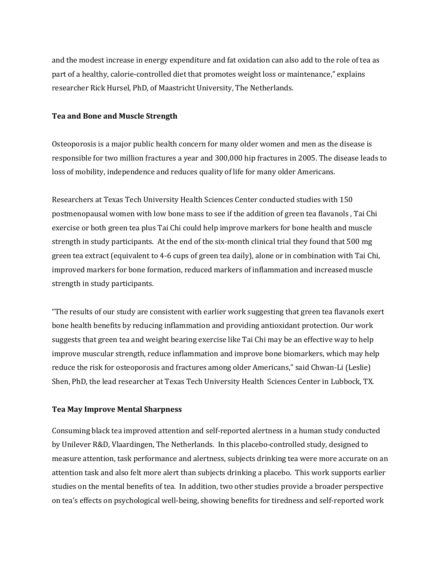and the modest increase in energy expenditure and fat oxidation can also add to the role of tea as part of a healthy, calorie-controlled diet that promotes weight loss or maintenance," explains researcher Rick Hursel, PhD, of Maastricht University, The Netherlands.

# **Tea and Bone and Muscle Strength**

Osteoporosis is a major public health concern for many older women and men as the disease is responsible for two million fractures a year and 300,000 hip fractures in 2005. The disease leads to loss of mobility, independence and reduces quality of life for many older Americans.

Researchers at Texas Tech University Health Sciences Center conducted studies with 150 postmenopausal women with low bone mass to see if the addition of green tea flavanols , Tai Chi exercise or both green tea plus Tai Chi could help improve markers for bone health and muscle strength in study participants. At the end of the six-month clinical trial they found that 500 mg green tea extract (equivalent to 4-6 cups of green tea daily), alone or in combination with Tai Chi, improved markers for bone formation, reduced markers of inflammation and increased muscle strength in study participants.

"The results of our study are consistent with earlier work suggesting that green tea flavanols exert bone health benefits by reducing inflammation and providing antioxidant protection. Our work suggests that green tea and weight bearing exercise like Tai Chi may be an effective way to help improve muscular strength, reduce inflammation and improve bone biomarkers, which may help reduce the risk for osteoporosis and fractures among older Americans," said Chwan-Li (Leslie) Shen, PhD, the lead researcher at Texas Tech University Health Sciences Center in Lubbock, TX.

# **Tea May Improve Mental Sharpness**

Consuming black tea improved attention and self-reported alertness in a human study conducted by Unilever R&D, Vlaardingen, The Netherlands. In this placebo-controlled study, designed to measure attention, task performance and alertness, subjects drinking tea were more accurate on an attention task and also felt more alert than subjects drinking a placebo. This work supports earlier studies on the mental benefits of tea. In addition, two other studies provide a broader perspective on tea's effects on psychological well-being, showing benefits for tiredness and self-reported work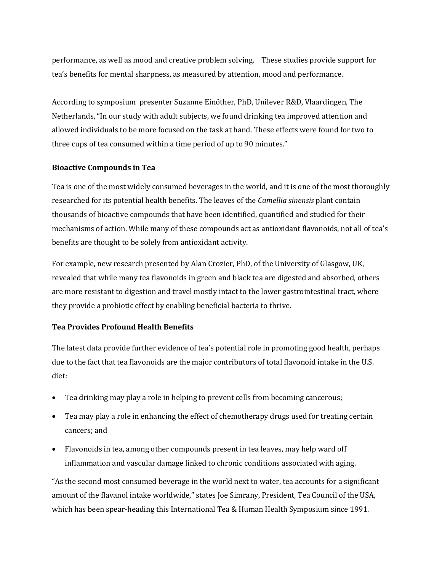performance, as well as mood and creative problem solving. These studies provide support for tea's benefits for mental sharpness, as measured by attention, mood and performance.

According to symposium presenter Suzanne Einöther, PhD, Unilever R&D, Vlaardingen, The Netherlands, "In our study with adult subjects, we found drinking tea improved attention and allowed individuals to be more focused on the task at hand. These effects were found for two to three cups of tea consumed within a time period of up to 90 minutes."

### **Bioactive Compounds in Tea**

Tea is one of the most widely consumed beverages in the world, and it is one of the most thoroughly researched for its potential health benefits. The leaves of the *Camellia sinensis* plant contain thousands of bioactive compounds that have been identified, quantified and studied for their mechanisms of action. While many of these compounds act as antioxidant flavonoids, not all of tea's benefits are thought to be solely from antioxidant activity.

For example, new research presented by Alan Crozier, PhD, of the University of Glasgow, UK, revealed that while many tea flavonoids in green and black tea are digested and absorbed, others are more resistant to digestion and travel mostly intact to the lower gastrointestinal tract, where they provide a probiotic effect by enabling beneficial bacteria to thrive.

### **Tea Provides Profound Health Benefits**

The latest data provide further evidence of tea's potential role in promoting good health, perhaps due to the fact that tea flavonoids are the major contributors of total flavonoid intake in the U.S. diet:

- Tea drinking may play a role in helping to prevent cells from becoming cancerous;
- Tea may play a role in enhancing the effect of chemotherapy drugs used for treating certain cancers; and
- Flavonoids in tea, among other compounds present in tea leaves, may help ward off inflammation and vascular damage linked to chronic conditions associated with aging.

"As the second most consumed beverage in the world next to water, tea accounts for a significant amount of the flavanol intake worldwide," states Joe Simrany, President, Tea Council of the USA, which has been spear-heading this International Tea & Human Health Symposium since 1991.